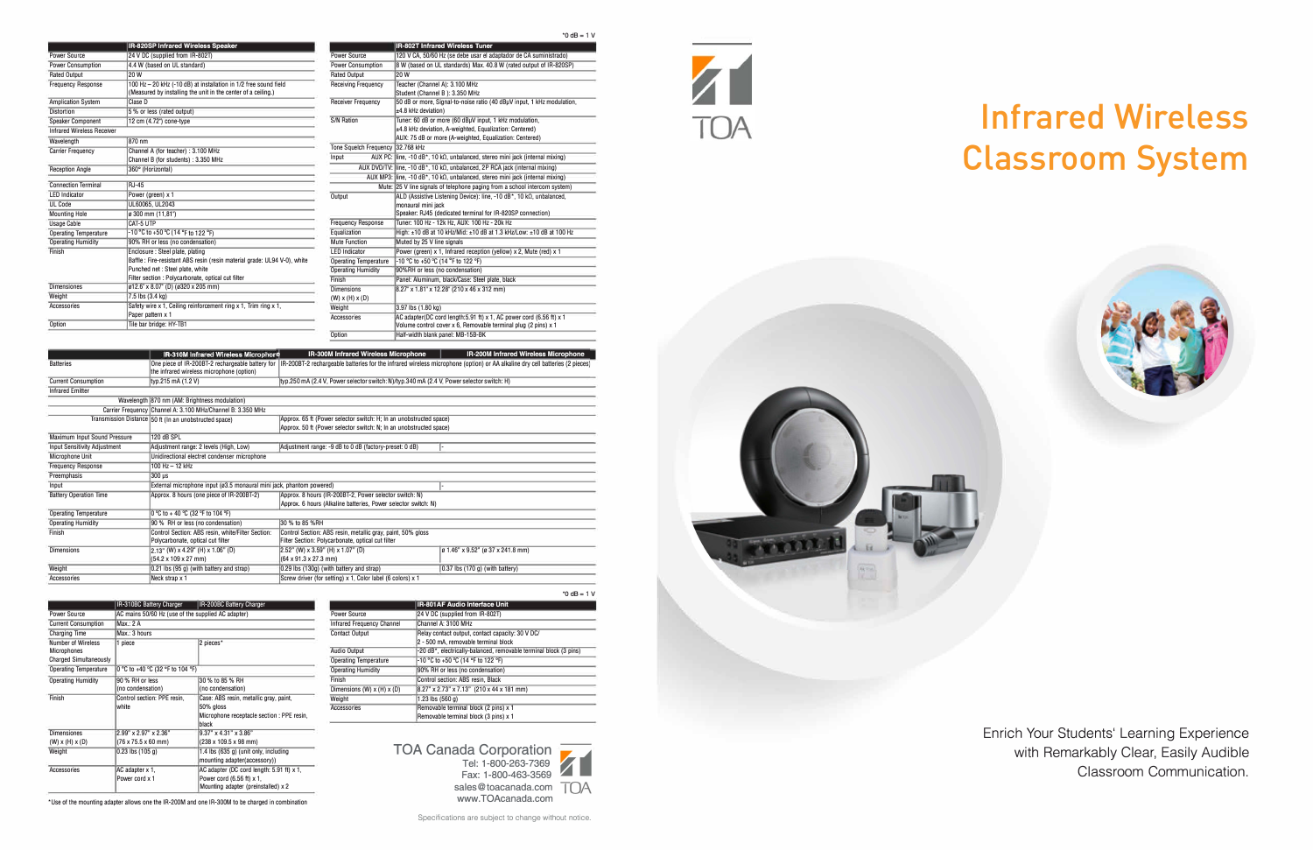|                                   | IR-820SP Infrared Wireless Speaker                                       |  |
|-----------------------------------|--------------------------------------------------------------------------|--|
| Power Source                      | 24 V DC (supplied from IR-802T)                                          |  |
| <b>Power Consumption</b>          | 4.4 W (based on UL standard)                                             |  |
| <b>Rated Output</b>               | 20 W                                                                     |  |
| <b>Frequency Response</b>         | 100 Hz - 20 kHz (-10 dB) at installation in 1/2 free sound field         |  |
|                                   | (Measured by installing the unit in the center of a ceiling.)            |  |
| <b>Amplication System</b>         | Clase D                                                                  |  |
| <b>Distortion</b>                 | 5 % or less (rated output)                                               |  |
| <b>Speaker Component</b>          | 12 cm (4.72") cone-type                                                  |  |
| <b>Infrared Wireless Receiver</b> |                                                                          |  |
| Wavelength                        | 870 nm                                                                   |  |
| <b>Carrier Frequency</b>          | Channel A (for teacher) : 3.100 MHz                                      |  |
|                                   | Channel B (for students) : 3.350 MHz                                     |  |
| <b>Reception Angle</b>            | 360° (Horizontal)                                                        |  |
| <b>Connection Terminal</b>        | <b>RJ-45</b>                                                             |  |
| <b>LED Indicator</b>              | Power (green) x 1                                                        |  |
| <b>UL Code</b>                    | UL60065. UL2043                                                          |  |
| <b>Mounting Hole</b>              | ø 300 mm (11.81")                                                        |  |
| <b>Usage Cable</b>                | CAT-5 UTP                                                                |  |
| <b>Operating Temperature</b>      | -10 °C to +50 °C (14 °F to 122 °F)                                       |  |
| <b>Operating Humidity</b>         | 90% RH or less (no condensation)                                         |  |
| Finish                            | Enclosure: Steel plate, plating                                          |  |
|                                   | Baffle: Fire-resistant ABS resin (resin material grade: UL94 V-0), white |  |
|                                   | Punched net : Steel plate, white                                         |  |
|                                   | Filter section : Polycarbonate, optical cut filter                       |  |
| <b>Dimensiones</b>                | ø12.6" x 8.07" (D) (ø320 x 205 mm)                                       |  |
| Weight                            | 7.5 lbs (3.4 kg)                                                         |  |
| <b>Accessories</b>                | Safety wire x 1, Ceiling reinforcement ring x 1, Trim ring x 1,          |  |
|                                   | Paper pattern x 1                                                        |  |
| Option                            | Tile bar bridge: HY-TB1                                                  |  |

|  | $0$ dB = 1 |  |  | v |
|--|------------|--|--|---|
|--|------------|--|--|---|

|                               | <b>IR-802T Infrared Wireless Tuner</b>                                                   |  |
|-------------------------------|------------------------------------------------------------------------------------------|--|
| <b>Power Source</b>           | 120 V CA, 50/60 Hz (se debe usar el adaptador de CA suministrado)                        |  |
| <b>Power Consumption</b>      | 8 W (based on UL standards) Max. 40.8 W (rated output of IR-820SP)                       |  |
| <b>Rated Output</b>           | 20W                                                                                      |  |
| <b>Receiving Frequency</b>    | Teacher (Channel A): 3.100 MHz                                                           |  |
|                               | Student (Channel B): 3.350 MHz                                                           |  |
| <b>Receiver Frequency</b>     | 50 dB or more, Signal-to-noise ratio (40 dBµV input, 1 kHz modulation,                   |  |
|                               | ±4.8 kHz deviation)                                                                      |  |
| <b>S/N Ration</b>             | Tuner: 60 dB or more (60 dBuV input, 1 kHz modulation,                                   |  |
|                               | ±4.8 kHz deviation, A-weighted, Equalization: Centered)                                  |  |
|                               | AUX: 75 dB or more (A-weighted, Equalization: Centered)                                  |  |
| <b>Tone Squelch Frequency</b> | 32.768 kHz                                                                               |  |
| Input                         | AUX PC: line, -10 dB*, 10 kΩ, unbalanced, stereo mini jack (internal mixing)             |  |
|                               | AUX DVD/TV: line, -10 dB <sup>*</sup> , 10 kΩ, unbalanced, 2P RCA jack (internal mixing) |  |
|                               | AUX MP3: line, -10 dB*, 10 k $\Omega$ , unbalanced, stereo mini jack (internal mixing)   |  |
|                               | Mute: 25 V line signals of telephone paging from a school intercom system)               |  |
| Output                        | ALD (Assistive Listening Device): line. -10 $dB^*$ . 10 k $\Omega$ , unbalanced.         |  |
|                               | monaural mini jack                                                                       |  |
|                               | Speaker: RJ45 (dedicated terminal for IR-820SP connection)                               |  |
| <b>Frequency Response</b>     | Tuner: 100 Hz - 12k Hz, AUX: 100 Hz - 20k Hz                                             |  |
| Equalization                  | High: ±10 dB at 10 kHz/Mid: ±10 dB at 1.3 kHz/Low: ±10 dB at 100 Hz                      |  |
| <b>Mute Function</b>          | Muted by 25 V line signals                                                               |  |
| <b>LED Indicator</b>          | Power (green) x 1, Infrared reception (yellow) x 2, Mute (red) x 1                       |  |
| <b>Operating Temperature</b>  | -10 °C to +50 °C (14 °F to 122 °F)                                                       |  |
| <b>Operating Humidity</b>     | 90%RH or less (no condensation)                                                          |  |
| Finish                        | Panel: Aluminum, black/Case: Steel plate, black                                          |  |
| <b>Dimensions</b>             | 8.27" x 1.81" x 12.28" (210 x 46 x 312 mm)                                               |  |
| $(W)$ x $(H)$ x $(D)$         |                                                                                          |  |
| Weight                        | 3.97 lbs (1.80 kg)                                                                       |  |
| Accessories                   | AC adapter(DC cord length: 5.91 ft) x 1, AC power cord (6.56 ft) x 1                     |  |
|                               | Volume control cover x 6, Removable terminal plug (2 pins) x 1                           |  |
| Option                        | Half-width blank panel: MB-15B-BK                                                        |  |
|                               |                                                                                          |  |

|                                     | IR-310M Infrared Wireless Microphone                                         | IR-300M Infrared Wireless Microphone                                                                                         | IR-200M Infrared Wireless Microphone |
|-------------------------------------|------------------------------------------------------------------------------|------------------------------------------------------------------------------------------------------------------------------|--------------------------------------|
| <b>Batteries</b>                    | One piece of IR-200BT-2 rechargeable battery for                             | IR-200BT-2 rechargeable batteries for the infrared wireless microphone (option) or AA alkaline dry cell batteries (2 pieces) |                                      |
|                                     | the infrared wireless microphone (option)                                    |                                                                                                                              |                                      |
| <b>Current Consumption</b>          | typ.215 mA (1.2 V)                                                           | typ.250 mA (2.4 V, Power selector switch: N)/typ.340 mA (2.4 V, Power selector switch: H)                                    |                                      |
| <b>Infrared Emitter</b>             |                                                                              |                                                                                                                              |                                      |
|                                     | Wavelength 870 nm (AM: Brightness modulation)                                |                                                                                                                              |                                      |
|                                     | Carrier Frequency Channel A: 3.100 MHz/Channel B: 3.350 MHz                  |                                                                                                                              |                                      |
|                                     | Transmission Distance 50 ft (In an unobstructed space)                       | Approx. 65 ft (Power selector switch: H; In an unobstructed space)                                                           |                                      |
|                                     |                                                                              | Approx. 50 ft (Power selector switch: N; In an unobstructed space)                                                           |                                      |
| Maximum Input Sound Pressure        | 120 dB SPL                                                                   |                                                                                                                              |                                      |
| <b>Input Sensitivity Adjustment</b> | Adjustment range: 2 levels (High, Low)                                       | Adjustment range: -9 dB to 0 dB (factory-preset: 0 dB)                                                                       |                                      |
| <b>Microphone Unit</b>              | Unidirectional electret condenser microphone                                 |                                                                                                                              |                                      |
| <b>Frequency Response</b>           | $100$ Hz $- 12$ kHz                                                          |                                                                                                                              |                                      |
| Preemphasis                         | 300 us                                                                       |                                                                                                                              |                                      |
| Input                               | External microphone input (ø3.5 monaural mini jack, phantom powered)         |                                                                                                                              |                                      |
| <b>Battery Operation Time</b>       | Approx. 8 hours (one piece of IR-200BT-2)                                    | Approx. 8 hours (IR-200BT-2, Power selector switch: N)                                                                       |                                      |
|                                     |                                                                              | Approx. 6 hours (Alkaline batteries, Power selector switch: N)                                                               |                                      |
| <b>Operating Temperature</b>        | 0 °C to + 40 °C (32 °F to 104 °F)                                            |                                                                                                                              |                                      |
| <b>Operating Humidity</b>           | 90 % RH or less (no condensation)                                            | 30 % to 85 %RH                                                                                                               |                                      |
| Finish                              | Control Section: ABS resin, white/Filter Section:                            | Control Section: ABS resin, metallic gray, paint, 50% gloss                                                                  |                                      |
|                                     | Polycarbonate, optical cut filter                                            | Filter Section: Polycarbonate, optical cut filter                                                                            |                                      |
| <b>Dimensions</b>                   | 2.13" (W) x 4.29" (H) x 1.06" (D)                                            | 2.52" (W) x 3.59" (H) x 1.07" (D)                                                                                            | ø 1.46" x 9.52" (ø 37 x 241.8 mm)    |
|                                     | $(54.2 \times 109 \times 27 \text{ mm})$                                     | $(64 \times 91.3 \times 27.3 \text{ mm})$                                                                                    |                                      |
| Weight                              | $0.21$ lbs (95 g) (with battery and strap)                                   | 0.29 lbs (130g) (with battery and strap)                                                                                     | $0.37$ lbs (170 g) (with battery)    |
| Accessories                         | Screw driver (for setting) x 1, Color label (6 colors) x 1<br>Neck strap x 1 |                                                                                                                              |                                      |

| пR<br>J<br>'n<br>$=$ |
|----------------------|
|----------------------|

|                                             | IR-310BC Battery Charger                                         | <b>IR-200BC Battery Charger</b>                                                                                        |                                   | IR-801AF Audio Interface Unit                                                  |
|---------------------------------------------|------------------------------------------------------------------|------------------------------------------------------------------------------------------------------------------------|-----------------------------------|--------------------------------------------------------------------------------|
| Power Source                                | AC mains 50/60 Hz (use of the supplied AC adapter)               |                                                                                                                        | <b>Power Source</b>               | 24 V DC (supplied from IR-802T)                                                |
| <b>Current Consumption</b>                  | Max.: 2 A                                                        |                                                                                                                        | <b>Infrared Frequency Channel</b> | Channel A: 3100 MHz                                                            |
| <b>Charging Time</b>                        | Max.: 3 hours                                                    |                                                                                                                        | <b>Contact Output</b>             | Relay contact output, contact capacity: 30 V DC/                               |
| Number of Wireless                          | 1 piece                                                          | 2 pieces*                                                                                                              |                                   | 2 - 500 mA, removable terminal block                                           |
| Microphones                                 |                                                                  |                                                                                                                        | Audio Output                      | -20 dB*, electrically-balanced, removable terminal block (3 pins)              |
| <b>Charged Simultaneously</b>               |                                                                  |                                                                                                                        | <b>Operating Temperature</b>      | -10 °C to +50 °C (14 °F to 122 °F)                                             |
| <b>Operating Temperature</b>                | 0 °C to +40 °C (32 °F to 104 °F)                                 |                                                                                                                        | <b>Operating Humidity</b>         | 90% RH or less (no condensation)                                               |
| <b>Operating Humidity</b>                   | 90 % RH or less                                                  | 30 % to 85 % RH                                                                                                        | Finish                            | Control section: ABS resin, Black                                              |
|                                             | (no condensation)                                                | (no condensation)                                                                                                      | Dimensions (W) $x(H)$ $x(D)$      | 8.27" x 2.73" x 7.13" (210 x 44 x 181 mm)                                      |
| Finish                                      | Control section: PPE resin.                                      | Case: ABS resin, metallic gray, paint,                                                                                 | Weight                            | 1.23 lbs (560 g)                                                               |
|                                             | white                                                            | 50% aloss<br>Microphone receptacle section : PPE resin,<br>black                                                       | <b>Accessories</b>                | Removable terminal block (2 pins) x 1<br>Removable terminal block (3 pins) x 1 |
| <b>Dimensiones</b><br>$(W)$ x $(H)$ x $(D)$ | 2.99" x 2.97" x 2.36"<br>$(76 \times 75.5 \times 60 \text{ mm})$ | $9.37$ " x 4.31" x 3.86"<br>$(238 \times 109.5 \times 98 \text{ mm})$                                                  |                                   |                                                                                |
| Weight                                      | $0.23$ lbs $(105q)$                                              | 1.4 lbs (635 g) (unit only, including<br>mounting adapter(accessory))                                                  |                                   | <b>TOA Canada Corporation</b><br>Tel: 1-800-263-7369                           |
| Accessories                                 | AC adapter x 1,<br>Power cord x 1                                | AC adapter (DC cord length: $5.91$ ft) $\times$ 1,<br>Power cord (6.56 ft) x 1,<br>Mounting adapter (preinstalled) x 2 |                                   | Fax: 1-800-463-3569<br>sales@toacanada.com                                     |

•use of the mounting adapter allows one the IR-200M and one IR-300M to be charged in combination

|                                   | <b>IR-80TAF AUGIO INTERACE UNIT</b>                               |  |
|-----------------------------------|-------------------------------------------------------------------|--|
| <b>Power Source</b>               | 24 V DC (supplied from IR-802T)                                   |  |
| <b>Infrared Frequency Channel</b> | Channel A: 3100 MHz                                               |  |
| <b>Contact Output</b>             | Relay contact output, contact capacity: 30 V DC/                  |  |
|                                   | 2 - 500 mA, removable terminal block                              |  |
| <b>Audio Output</b>               | -20 dB*, electrically-balanced, removable terminal block (3 pins) |  |
| <b>Operating Temperature</b>      | -10 °C to +50 °C (14 °F to 122 °F)                                |  |
| <b>Operating Humidity</b>         | 90% RH or less (no condensation)                                  |  |
| Finish                            | Control section: ABS resin, Black                                 |  |
| Dimensions (W) $x(H)$ $x(D)$      | 8.27" x 2.73" x 7.13" (210 x 44 x 181 mm)                         |  |
| Weight                            | 1.23 lbs $(560 g)$                                                |  |
| Accessories                       | Removable terminal block (2 pins) x 1                             |  |
|                                   | Removable terminal block (3 pins) x 1                             |  |



Specifications are subject to change without notice.





## **Infrared Wireless Classroom System**

**Enrich Your Students' Learning Experience with Remarkably Clear, Easily Audible Classroom Communication.**